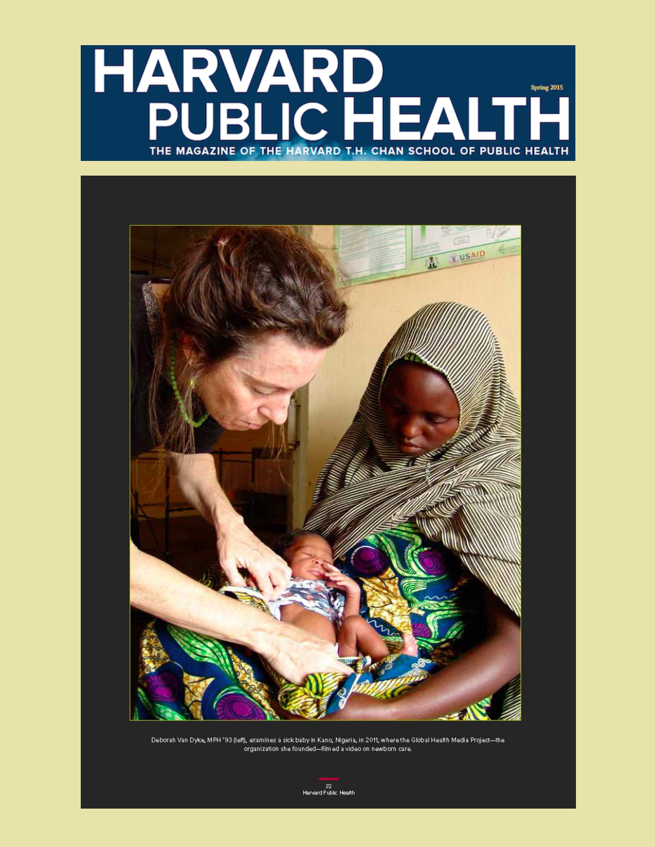# HARVARD<br>PUBLIC HEALT **Spring 2015** I = THE MAGAZINE OF THE HARVARD T.H. CHAN SCHOOL OF PUBLIC HEALTH



Deborah Van Dyke, MPH '93 (left), examines a sick baby in Kano, Nigeria, in 2011, where the Global Health Media Project-the .<br>organization she founded-filmed a video on newborn care.

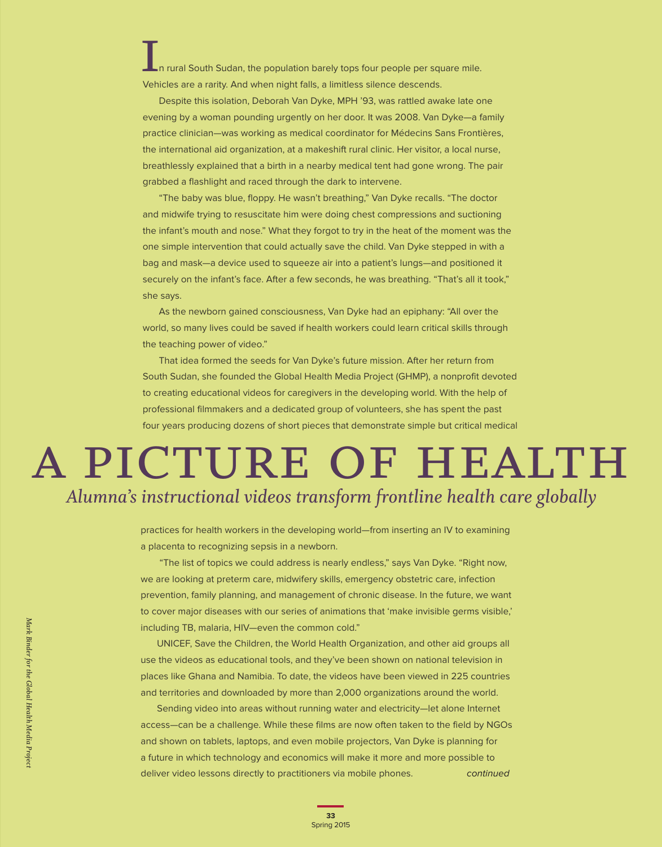n rural South Sudan, the population barely tops four people per square mile. In rural South Sudan, the population barely tops four people per squeen Vehicles are a rarity. And when night falls, a limitless silence descends.

Despite this isolation, Deborah Van Dyke, MPH '93, was rattled awake late one evening by a woman pounding urgently on her door. It was 2008. Van Dyke—a family practice clinician—was working as medical coordinator for Médecins Sans Frontières, the international aid organization, at a makeshift rural clinic. Her visitor, a local nurse, breathlessly explained that a birth in a nearby medical tent had gone wrong. The pair grabbed a flashlight and raced through the dark to intervene.

"The baby was blue, floppy. He wasn't breathing," Van Dyke recalls. "The doctor and midwife trying to resuscitate him were doing chest compressions and suctioning the infant's mouth and nose." What they forgot to try in the heat of the moment was the one simple intervention that could actually save the child. Van Dyke stepped in with a bag and mask—a device used to squeeze air into a patient's lungs—and positioned it securely on the infant's face. After a few seconds, he was breathing. "That's all it took," she says.

As the newborn gained consciousness, Van Dyke had an epiphany: "All over the world, so many lives could be saved if health workers could learn critical skills through the teaching power of video."

That idea formed the seeds for Van Dyke's future mission. After her return from South Sudan, she founded the Global Health Media Project (GHMP), a nonprofit devoted to creating educational videos for caregivers in the developing world. With the help of professional filmmakers and a dedicated group of volunteers, she has spent the past four years producing dozens of short pieces that demonstrate simple but critical medical

# a picture of health *Alumna's instructional videos transform frontline health care globally*

practices for health workers in the developing world—from inserting an IV to examining a placenta to recognizing sepsis in a newborn.

 "The list of topics we could address is nearly endless," says Van Dyke. "Right now, we are looking at preterm care, midwifery skills, emergency obstetric care, infection prevention, family planning, and management of chronic disease. In the future, we want to cover major diseases with our series of animations that 'make invisible germs visible,' including TB, malaria, HIV—even the common cold."

UNICEF, Save the Children, the World Health Organization, and other aid groups all use the videos as educational tools, and they've been shown on national television in places like Ghana and Namibia. To date, the videos have been viewed in 225 countries and territories and downloaded by more than 2,000 organizations around the world.

continued Sending video into areas without running water and electricity—let alone Internet access—can be a challenge. While these films are now often taken to the field by NGOs and shown on tablets, laptops, and even mobile projectors, Van Dyke is planning for a future in which technology and economics will make it more and more possible to deliver video lessons directly to practitioners via mobile phones.

Mark Binder for the Global Health Media Project *Mark Binder for the Global Health Media Project*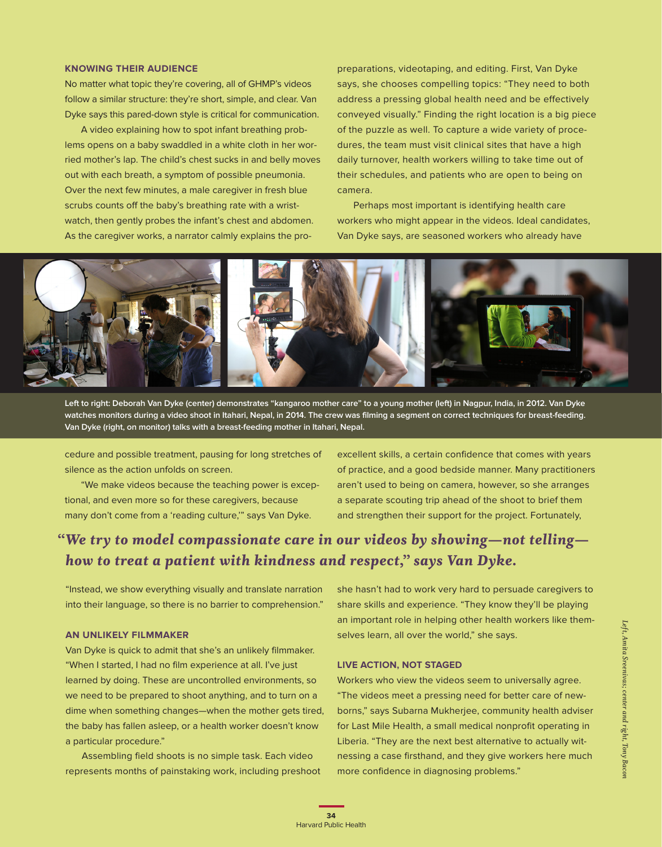### **KNOWING THEIR AUDIENCE**

No matter what topic they're covering, all of GHMP's videos follow a similar structure: they're short, simple, and clear. Van Dyke says this pared-down style is critical for communication.

A video explaining how to spot infant breathing problems opens on a baby swaddled in a white cloth in her worried mother's lap. The child's chest sucks in and belly moves out with each breath, a symptom of possible pneumonia. Over the next few minutes, a male caregiver in fresh blue scrubs counts off the baby's breathing rate with a wristwatch, then gently probes the infant's chest and abdomen. As the caregiver works, a narrator calmly explains the propreparations, videotaping, and editing. First, Van Dyke says, she chooses compelling topics: "They need to both address a pressing global health need and be effectively conveyed visually." Finding the right location is a big piece of the puzzle as well. To capture a wide variety of procedures, the team must visit clinical sites that have a high daily turnover, health workers willing to take time out of their schedules, and patients who are open to being on camera.

Perhaps most important is identifying health care workers who might appear in the videos. Ideal candidates, Van Dyke says, are seasoned workers who already have



**Left to right: Deborah Van Dyke (center) demonstrates "kangaroo mother care" to a young mother (left) in Nagpur, India, in 2012. Van Dyke watches monitors during a video shoot in Itahari, Nepal, in 2014. The crew was filming a segment on correct techniques for breast-feeding. Van Dyke (right, on monitor) talks with a breast-feeding mother in Itahari, Nepal.**

cedure and possible treatment, pausing for long stretches of silence as the action unfolds on screen.

"We make videos because the teaching power is exceptional, and even more so for these caregivers, because many don't come from a 'reading culture,'" says Van Dyke.

excellent skills, a certain confidence that comes with years of practice, and a good bedside manner. Many practitioners aren't used to being on camera, however, so she arranges a separate scouting trip ahead of the shoot to brief them and strengthen their support for the project. Fortunately,

# *"We try to model compassionate care in our videos by showing—not telling how to treat a patient with kindness and respect," says Van Dyke.*

"Instead, we show everything visually and translate narration into their language, so there is no barrier to comprehension."

#### **AN UNLIKELY FILMMAKER**

Van Dyke is quick to admit that she's an unlikely filmmaker. "When I started, I had no film experience at all. I've just learned by doing. These are uncontrolled environments, so we need to be prepared to shoot anything, and to turn on a dime when something changes—when the mother gets tired, the baby has fallen asleep, or a health worker doesn't know a particular procedure."

Assembling field shoots is no simple task. Each video represents months of painstaking work, including preshoot she hasn't had to work very hard to persuade caregivers to share skills and experience. "They know they'll be playing an important role in helping other health workers like themselves learn, all over the world," she says.

## **LIVE ACTION, NOT STAGED**

Workers who view the videos seem to universally agree. "The videos meet a pressing need for better care of newborns," says Subarna Mukherjee, community health adviser for Last Mile Health, a small medical nonprofit operating in Liberia. "They are the next best alternative to actually witnessing a case firsthand, and they give workers here much more confidence in diagnosing problems."